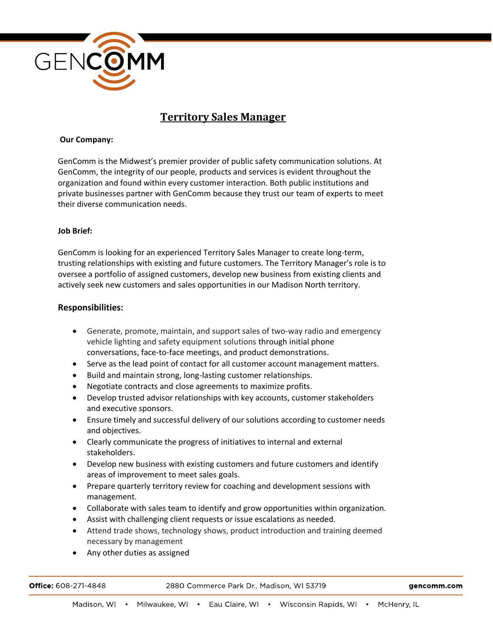

# **Territory Sales Manager**

### **Our Company:**

GenComm is the Midwest's premier provider of public safety communication solutions. At GenComm, the integrity of our people, products and services is evident throughout the organization and found within every customer interaction. Both public institutions and private businesses partner with GenComm because they trust our team of experts to meet their diverse communication needs.

#### **Job Brief:**

GenComm is looking for an experienced Territory Sales Manager to create long-term, trusting relationships with existing and future customers. The Territory Manager's role is to oversee a portfolio of assigned customers, develop new business from existing clients and actively seek new customers and sales opportunities in our Madison North territory.

### **Responsibilities:**

- Generate, promote, maintain, and support sales of two-way radio and emergency vehicle lighting and safety equipment solutions through initial phone conversations, face-to-face meetings, and product demonstrations.
- Serve as the lead point of contact for all customer account management matters.
- Build and maintain strong, long-lasting customer relationships.
- Negotiate contracts and close agreements to maximize profits.
- Develop trusted advisor relationships with key accounts, customer stakeholders and executive sponsors.
- Ensure timely and successful delivery of our solutions according to customer needs and objectives.
- Clearly communicate the progress of initiatives to internal and external stakeholders.
- Develop new business with existing customers and future customers and identify areas of improvement to meet sales goals.
- Prepare quarterly territory review for coaching and development sessions with management.
- Collaborate with sales team to identify and grow opportunities within organization.
- Assist with challenging client requests or issue escalations as needed.
- Attend trade shows, technology shows, product introduction and training deemed necessary by management
- Any other duties as assigned